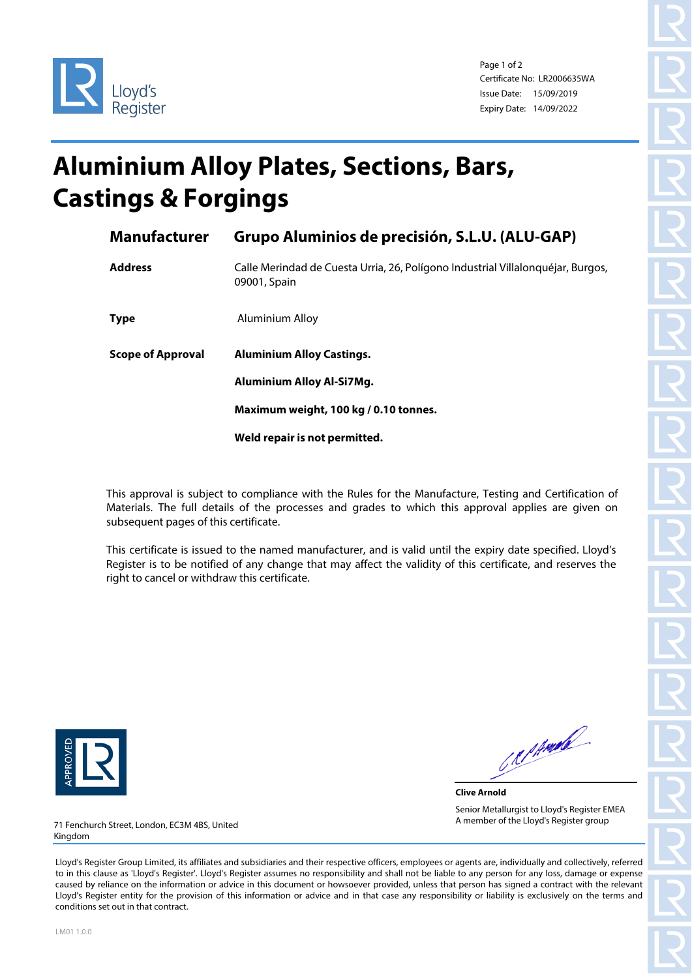



Page 1 of 2 Certificate No: LR2006635WA Issue Date: 15/09/2019 Expiry Date: 14/09/2022

## **Aluminium Alloy Plates, Sections, Bars, Castings & Forgings**

| <b>Manufacturer</b>      | Grupo Aluminios de precisión, S.L.U. (ALU-GAP)                                                  |  |  |
|--------------------------|-------------------------------------------------------------------------------------------------|--|--|
| <b>Address</b>           | Calle Merindad de Cuesta Urria, 26, Polígono Industrial Villalonguéjar, Burgos,<br>09001, Spain |  |  |
| <b>Type</b>              | Aluminium Alloy                                                                                 |  |  |
| <b>Scope of Approval</b> | <b>Aluminium Alloy Castings.</b>                                                                |  |  |
|                          |                                                                                                 |  |  |
|                          | <b>Aluminium Alloy Al-Si7Mg.</b>                                                                |  |  |
|                          | Maximum weight, 100 kg / 0.10 tonnes.                                                           |  |  |
|                          | Weld repair is not permitted.                                                                   |  |  |

This approval is subject to compliance with the Rules for the Manufacture, Testing and Certification of Materials. The full details of the processes and grades to which this approval applies are given on subsequent pages of this certificate.

This certificate is issued to the named manufacturer, and is valid until the expiry date specified. Lloyd's Register is to be notified of any change that may affect the validity of this certificate, and reserves the right to cancel or withdraw this certificate.



CRIPANIA

**Clive Arnold** Senior Metallurgist to Lloyd's Register EMEA A member of the Lloyd's Register group

71 Fenchurch Street, London, EC3M 4BS, United Kingdom

Lloyd's Register Group Limited, its affiliates and subsidiaries and their respective officers, employees or agents are, individually and collectively, referred to in this clause as 'Lloyd's Register'. Lloyd's Register assumes no responsibility and shall not be liable to any person for any loss, damage or expense caused by reliance on the information or advice in this document or howsoever provided, unless that person has signed a contract with the relevant Lloyd's Register entity for the provision of this information or advice and in that case any responsibility or liability is exclusively on the terms and conditions set out in that contract.